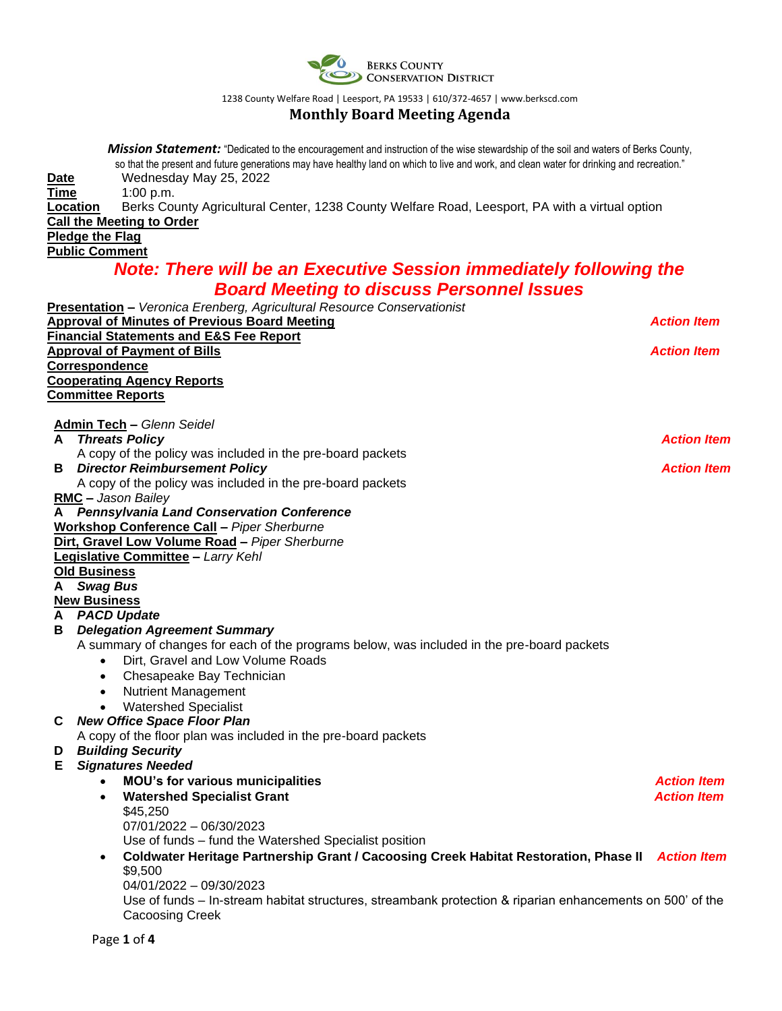

1238 County Welfare Road | Leesport, PA 19533 | 610/372-4657 [| www.berkscd.com](http://www.berkscd.com/)

# **Monthly Board Meeting Agenda**

|      | <b>Mission Statement:</b> "Dedicated to the encouragement and instruction of the wise stewardship of the soil and waters of Berks County, |                    |  |  |  |  |
|------|-------------------------------------------------------------------------------------------------------------------------------------------|--------------------|--|--|--|--|
|      | so that the present and future generations may have healthy land on which to live and work, and clean water for drinking and recreation." |                    |  |  |  |  |
| Date | Wednesday May 25, 2022                                                                                                                    |                    |  |  |  |  |
| Time | 1:00 p.m.<br>Berks County Agricultural Center, 1238 County Welfare Road, Leesport, PA with a virtual option<br>Location                   |                    |  |  |  |  |
|      | <b>Call the Meeting to Order</b>                                                                                                          |                    |  |  |  |  |
|      | <b>Pledge the Flag</b>                                                                                                                    |                    |  |  |  |  |
|      | <b>Public Comment</b>                                                                                                                     |                    |  |  |  |  |
|      | <b>Note: There will be an Executive Session immediately following the</b>                                                                 |                    |  |  |  |  |
|      | <b>Board Meeting to discuss Personnel Issues</b>                                                                                          |                    |  |  |  |  |
|      | Presentation - Veronica Erenberg, Agricultural Resource Conservationist                                                                   |                    |  |  |  |  |
|      | <b>Approval of Minutes of Previous Board Meeting</b>                                                                                      | <b>Action Item</b> |  |  |  |  |
|      | <b>Financial Statements and E&amp;S Fee Report</b>                                                                                        |                    |  |  |  |  |
|      | <b>Approval of Payment of Bills</b>                                                                                                       | <b>Action Item</b> |  |  |  |  |
|      | <b>Correspondence</b>                                                                                                                     |                    |  |  |  |  |
|      | <b>Cooperating Agency Reports</b>                                                                                                         |                    |  |  |  |  |
|      | <b>Committee Reports</b>                                                                                                                  |                    |  |  |  |  |
|      |                                                                                                                                           |                    |  |  |  |  |
| A    | <b>Admin Tech - Glenn Seidel</b><br><b>Threats Policy</b>                                                                                 | <b>Action Item</b> |  |  |  |  |
|      | A copy of the policy was included in the pre-board packets                                                                                |                    |  |  |  |  |
| в    | <b>Director Reimbursement Policy</b>                                                                                                      | <b>Action Item</b> |  |  |  |  |
|      | A copy of the policy was included in the pre-board packets                                                                                |                    |  |  |  |  |
|      | <b>RMC</b> - Jason Bailey                                                                                                                 |                    |  |  |  |  |
|      | A Pennsylvania Land Conservation Conference                                                                                               |                    |  |  |  |  |
|      | <b>Workshop Conference Call - Piper Sherburne</b>                                                                                         |                    |  |  |  |  |
|      | Dirt, Gravel Low Volume Road - Piper Sherburne                                                                                            |                    |  |  |  |  |
|      | Legislative Committee - Larry Kehl                                                                                                        |                    |  |  |  |  |
|      | <b>Old Business</b>                                                                                                                       |                    |  |  |  |  |
|      | A Swag Bus<br><b>New Business</b>                                                                                                         |                    |  |  |  |  |
|      | A PACD Update                                                                                                                             |                    |  |  |  |  |
| в    | <b>Delegation Agreement Summary</b>                                                                                                       |                    |  |  |  |  |
|      | A summary of changes for each of the programs below, was included in the pre-board packets                                                |                    |  |  |  |  |
|      | Dirt, Gravel and Low Volume Roads<br>$\bullet$                                                                                            |                    |  |  |  |  |
|      | Chesapeake Bay Technician<br>٠                                                                                                            |                    |  |  |  |  |
|      | <b>Nutrient Management</b>                                                                                                                |                    |  |  |  |  |
|      | <b>Watershed Specialist</b><br>$\bullet$                                                                                                  |                    |  |  |  |  |
| С    | <b>New Office Space Floor Plan</b>                                                                                                        |                    |  |  |  |  |
|      | A copy of the floor plan was included in the pre-board packets                                                                            |                    |  |  |  |  |
| D    | <b>Building Security</b>                                                                                                                  |                    |  |  |  |  |
| Е.   | <b>Signatures Needed</b>                                                                                                                  |                    |  |  |  |  |
|      | <b>MOU's for various municipalities</b>                                                                                                   | <b>Action Item</b> |  |  |  |  |
|      | <b>Watershed Specialist Grant</b><br>$\bullet$<br>\$45,250                                                                                | <b>Action Item</b> |  |  |  |  |
|      | 07/01/2022 - 06/30/2023                                                                                                                   |                    |  |  |  |  |
|      | Use of funds - fund the Watershed Specialist position                                                                                     |                    |  |  |  |  |
|      | Coldwater Heritage Partnership Grant / Cacoosing Creek Habitat Restoration, Phase II<br>$\bullet$                                         | <b>Action Item</b> |  |  |  |  |
|      | \$9,500                                                                                                                                   |                    |  |  |  |  |
|      | 04/01/2022 - 09/30/2023                                                                                                                   |                    |  |  |  |  |
|      | Use of funds – In-stream habitat structures, streambank protection & riparian enhancements on 500' of the                                 |                    |  |  |  |  |
|      | Cacoosing Creek                                                                                                                           |                    |  |  |  |  |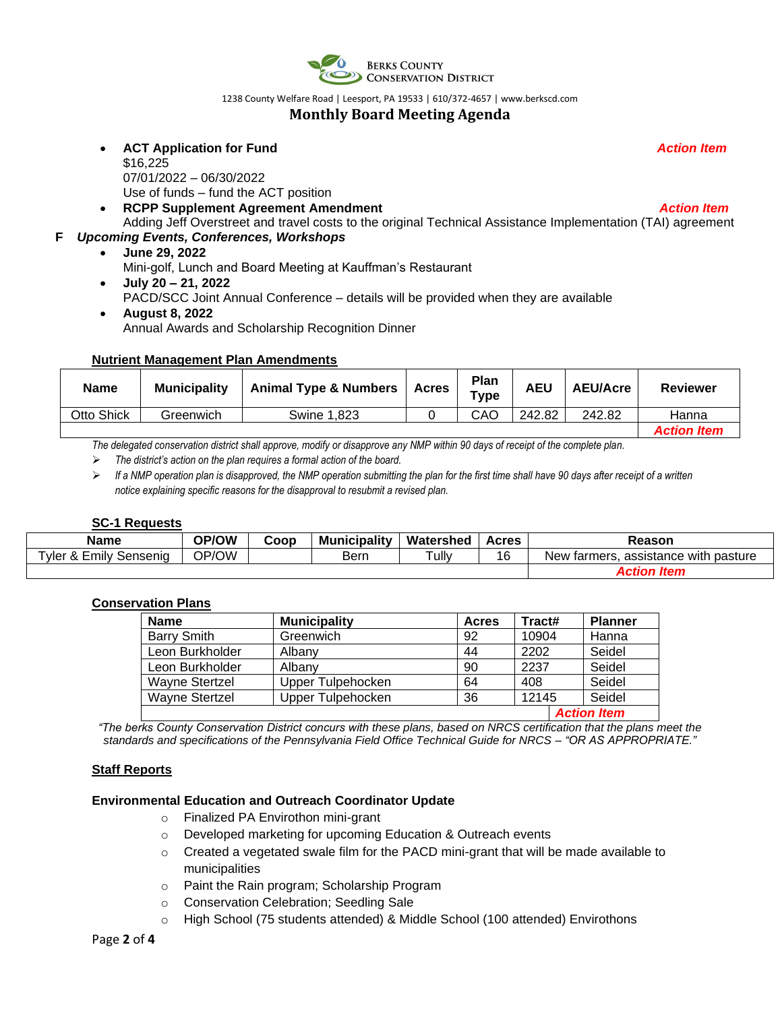

1238 County Welfare Road | Leesport, PA 19533 | 610/372-4657 [| www.berkscd.com](http://www.berkscd.com/)

# **Monthly Board Meeting Agenda**

- **ACT Application for Fund** *Action Item* \$16,225 07/01/2022 – 06/30/2022 Use of funds – fund the ACT position
- **RCPP Supplement Agreement Amendment** *Action Item*
- Adding Jeff Overstreet and travel costs to the original Technical Assistance Implementation (TAI) agreement **F** *Upcoming Events, Conferences, Workshops*
	- **June 29, 2022**
		- Mini-golf, Lunch and Board Meeting at Kauffman's Restaurant
	- **July 20 – 21, 2022**

PACD/SCC Joint Annual Conference – details will be provided when they are available

• **August 8, 2022** Annual Awards and Scholarship Recognition Dinner

## **Nutrient Management Plan Amendments**

| <b>Animal Type &amp; Numbers</b><br><b>Name</b><br><b>Municipality</b> |  | <b>Acres</b> | Plan<br>Type | AEU    | <b>AEU/Acre</b> | <b>Reviewer</b> |                    |
|------------------------------------------------------------------------|--|--------------|--------------|--------|-----------------|-----------------|--------------------|
| Otto Shick<br>Greenwich<br>Swine 1.823                                 |  |              | CAO          | 242.82 | 242.82          | Hanna           |                    |
|                                                                        |  |              |              |        |                 |                 | <b>Action Item</b> |

*The delegated conservation district shall approve, modify or disapprove any NMP within 90 days of receipt of the complete plan.*

- ➢ *The district's action on the plan requires a formal action of the board.*
- ➢ *If a NMP operation plan is disapproved, the NMP operation submitting the plan for the first time shall have 90 days after receipt of a written notice explaining specific reasons for the disapproval to resubmit a revised plan.*

## **SC-1 Requests**

| <b>Name</b>               | OP/OW | Coop | <b>Municipality</b> | Watershed | <b>Acres</b> | Reason                                    |
|---------------------------|-------|------|---------------------|-----------|--------------|-------------------------------------------|
| Tyler & Emily<br>Sensenia | OP/OW |      | Bern                | Tully     | 16           | New farmers.<br>. assistance with pasture |
|                           |       |      |                     |           |              | Action Item                               |

## **Conservation Plans**

| <b>Name</b>                     | <b>Municipality</b> | Acres | Tract# | <b>Planner</b>     |
|---------------------------------|---------------------|-------|--------|--------------------|
| <b>Barry Smith</b><br>Greenwich |                     | 92    | 10904  | Hanna              |
| Leon Burkholder                 | Albany              | 44    | 2202   | Seidel             |
| Leon Burkholder                 | Albany              | 90    | 2237   | Seidel             |
| Wayne Stertzel                  | Upper Tulpehocken   | 64    | 408    | Seidel             |
| Wayne Stertzel                  | Upper Tulpehocken   | 36    | 12145  | Seidel             |
|                                 |                     |       |        | <b>Action Item</b> |

*"The berks County Conservation District concurs with these plans, based on NRCS certification that the plans meet the standards and specifications of the Pennsylvania Field Office Technical Guide for NRCS – "OR AS APPROPRIATE."*

## **Staff Reports**

## **Environmental Education and Outreach Coordinator Update**

- o Finalized PA Envirothon mini-grant
- o Developed marketing for upcoming Education & Outreach events
- $\circ$  Created a vegetated swale film for the PACD mini-grant that will be made available to municipalities
- o Paint the Rain program; Scholarship Program
- o Conservation Celebration; Seedling Sale
- o High School (75 students attended) & Middle School (100 attended) Envirothons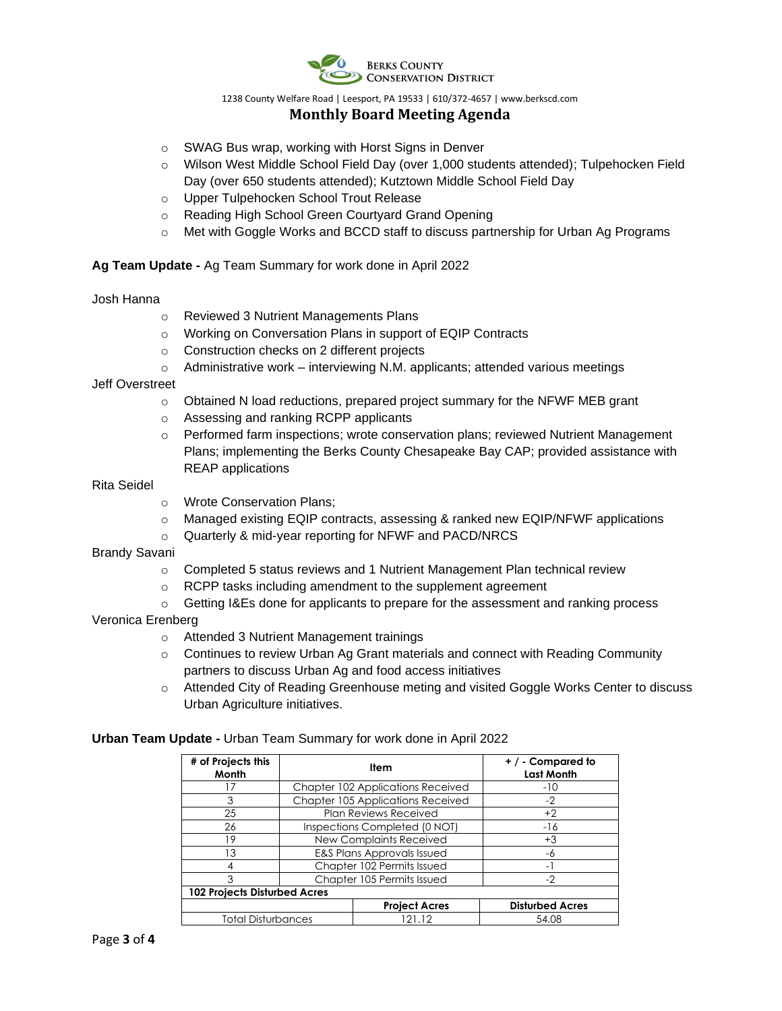

1238 County Welfare Road | Leesport, PA 19533 | 610/372-4657 [| www.berkscd.com](http://www.berkscd.com/)

# **Monthly Board Meeting Agenda**

- o SWAG Bus wrap, working with Horst Signs in Denver
- o Wilson West Middle School Field Day (over 1,000 students attended); Tulpehocken Field Day (over 650 students attended); Kutztown Middle School Field Day
- o Upper Tulpehocken School Trout Release
- o Reading High School Green Courtyard Grand Opening
- o Met with Goggle Works and BCCD staff to discuss partnership for Urban Ag Programs

**Ag Team Update -** Ag Team Summary for work done in April 2022

#### Josh Hanna

- o Reviewed 3 Nutrient Managements Plans
- o Working on Conversation Plans in support of EQIP Contracts
- o Construction checks on 2 different projects
- $\circ$  Administrative work interviewing N.M. applicants; attended various meetings

## Jeff Overstreet

- o Obtained N load reductions, prepared project summary for the NFWF MEB grant
- o Assessing and ranking RCPP applicants
- $\circ$  Performed farm inspections; wrote conservation plans; reviewed Nutrient Management Plans; implementing the Berks County Chesapeake Bay CAP; provided assistance with REAP applications

#### Rita Seidel

- o Wrote Conservation Plans;
- o Managed existing EQIP contracts, assessing & ranked new EQIP/NFWF applications
- o Quarterly & mid-year reporting for NFWF and PACD/NRCS

## Brandy Savani

- $\circ$  Completed 5 status reviews and 1 Nutrient Management Plan technical review
- o RCPP tasks including amendment to the supplement agreement
- o Getting I&Es done for applicants to prepare for the assessment and ranking process

## Veronica Erenberg

- o Attended 3 Nutrient Management trainings
- $\circ$  Continues to review Urban Ag Grant materials and connect with Reading Community partners to discuss Urban Ag and food access initiatives
- o Attended City of Reading Greenhouse meting and visited Goggle Works Center to discuss Urban Agriculture initiatives.

## **Urban Team Update -** Urban Team Summary for work done in April 2022

| # of Projects this<br>Month         |  | Item                              | $+$ / - Compared to<br><b>Last Month</b> |  |  |  |  |
|-------------------------------------|--|-----------------------------------|------------------------------------------|--|--|--|--|
| -7                                  |  | Chapter 102 Applications Received | $-10$                                    |  |  |  |  |
| 3                                   |  | Chapter 105 Applications Received | $-2$                                     |  |  |  |  |
| 25                                  |  | Plan Reviews Received             | $+2$                                     |  |  |  |  |
| 26                                  |  | Inspections Completed (0 NOT)     | $-16$                                    |  |  |  |  |
| 19                                  |  | <b>New Complaints Received</b>    | $+3$                                     |  |  |  |  |
| 13                                  |  | E&S Plans Approvals Issued        | -6                                       |  |  |  |  |
| 4                                   |  | Chapter 102 Permits Issued        | Ξ.                                       |  |  |  |  |
| 3                                   |  | Chapter 105 Permits Issued        | $-2$                                     |  |  |  |  |
| <b>102 Projects Disturbed Acres</b> |  |                                   |                                          |  |  |  |  |
|                                     |  | <b>Project Acres</b>              | <b>Disturbed Acres</b>                   |  |  |  |  |
| <b>Total Disturbances</b>           |  | 21 12                             | 54.08                                    |  |  |  |  |